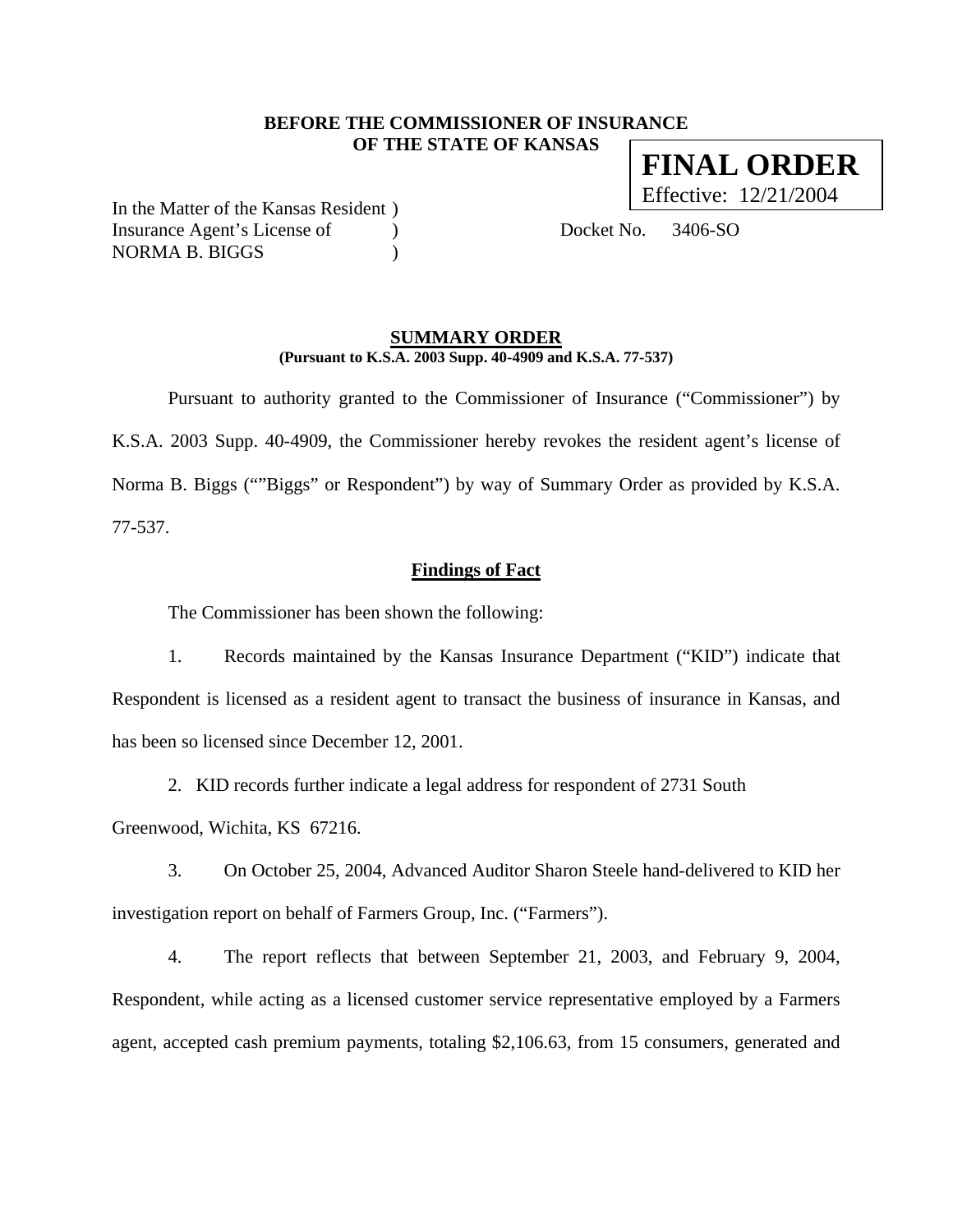### **BEFORE THE COMMISSIONER OF INSURANCE OF THE STATE OF KANSAS**

In the Matter of the Kansas Resident ) Insurance Agent's License of (a) Docket No. 3406-SO NORMA B. BIGGS  $)$ 

#### **SUMMARY ORDER (Pursuant to K.S.A. 2003 Supp. 40-4909 and K.S.A. 77-537)**

 Pursuant to authority granted to the Commissioner of Insurance ("Commissioner") by K.S.A. 2003 Supp. 40-4909, the Commissioner hereby revokes the resident agent's license of Norma B. Biggs (""Biggs" or Respondent") by way of Summary Order as provided by K.S.A. 77-537.

**Findings of Fact**

The Commissioner has been shown the following:

1. Records maintained by the Kansas Insurance Department ("KID") indicate that Respondent is licensed as a resident agent to transact the business of insurance in Kansas, and has been so licensed since December 12, 2001.

2. KID records further indicate a legal address for respondent of 2731 South

Greenwood, Wichita, KS 67216.

3. On October 25, 2004, Advanced Auditor Sharon Steele hand-delivered to KID her investigation report on behalf of Farmers Group, Inc. ("Farmers").

4. The report reflects that between September 21, 2003, and February 9, 2004, Respondent, while acting as a licensed customer service representative employed by a Farmers agent, accepted cash premium payments, totaling \$2,106.63, from 15 consumers, generated and

**FINAL ORDER** Effective: 12/21/2004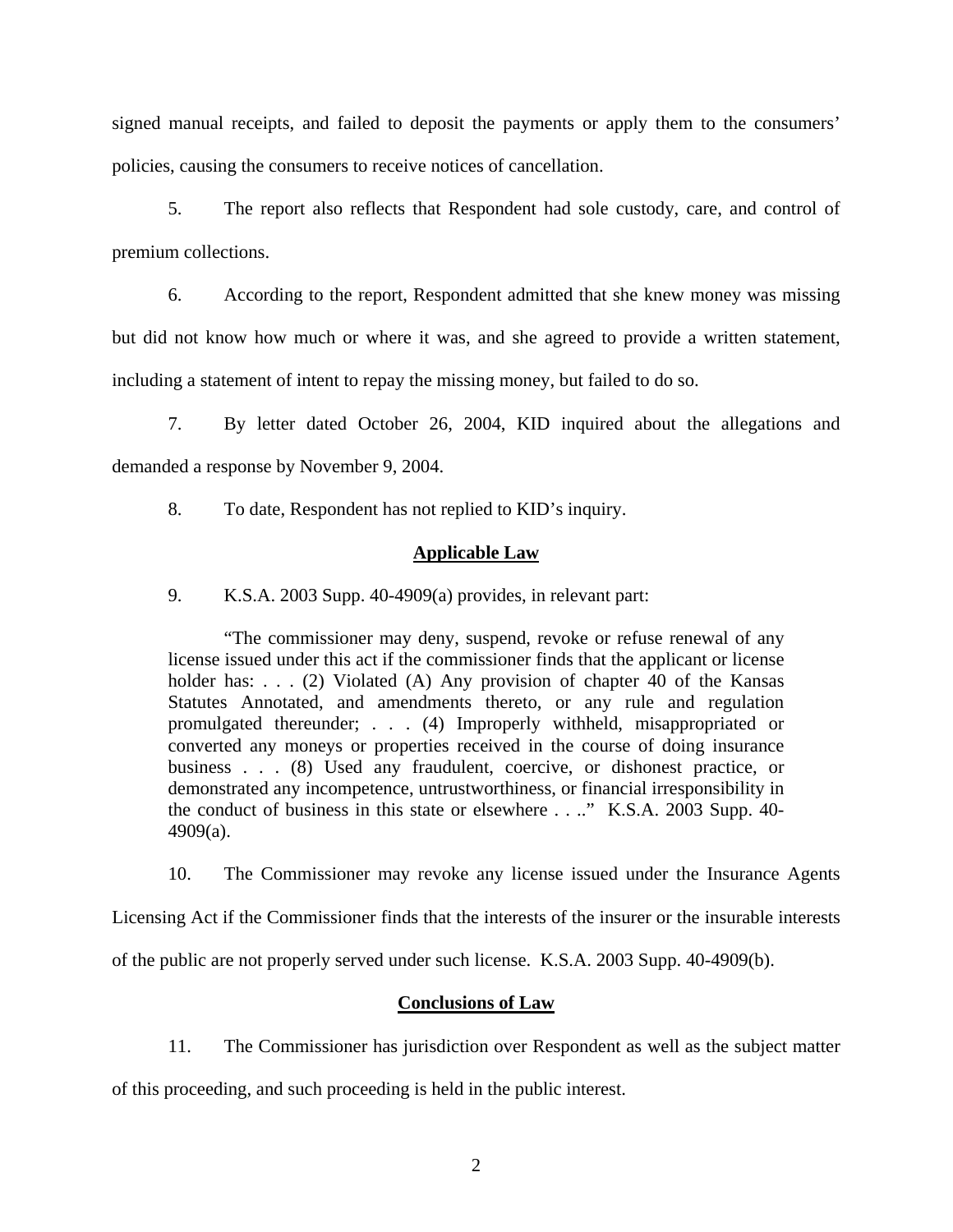signed manual receipts, and failed to deposit the payments or apply them to the consumers' policies, causing the consumers to receive notices of cancellation.

5. The report also reflects that Respondent had sole custody, care, and control of premium collections.

6. According to the report, Respondent admitted that she knew money was missing but did not know how much or where it was, and she agreed to provide a written statement, including a statement of intent to repay the missing money, but failed to do so.

7. By letter dated October 26, 2004, KID inquired about the allegations and demanded a response by November 9, 2004.

8. To date, Respondent has not replied to KID's inquiry.

## **Applicable Law**

9. K.S.A. 2003 Supp. 40-4909(a) provides, in relevant part:

"The commissioner may deny, suspend, revoke or refuse renewal of any license issued under this act if the commissioner finds that the applicant or license holder has:  $\ldots$  (2) Violated (A) Any provision of chapter 40 of the Kansas Statutes Annotated, and amendments thereto, or any rule and regulation promulgated thereunder; . . . (4) Improperly withheld, misappropriated or converted any moneys or properties received in the course of doing insurance business . . . (8) Used any fraudulent, coercive, or dishonest practice, or demonstrated any incompetence, untrustworthiness, or financial irresponsibility in the conduct of business in this state or elsewhere . . .." K.S.A. 2003 Supp. 40- 4909(a).

10. The Commissioner may revoke any license issued under the Insurance Agents

Licensing Act if the Commissioner finds that the interests of the insurer or the insurable interests

of the public are not properly served under such license. K.S.A. 2003 Supp. 40-4909(b).

## **Conclusions of Law**

11. The Commissioner has jurisdiction over Respondent as well as the subject matter

of this proceeding, and such proceeding is held in the public interest.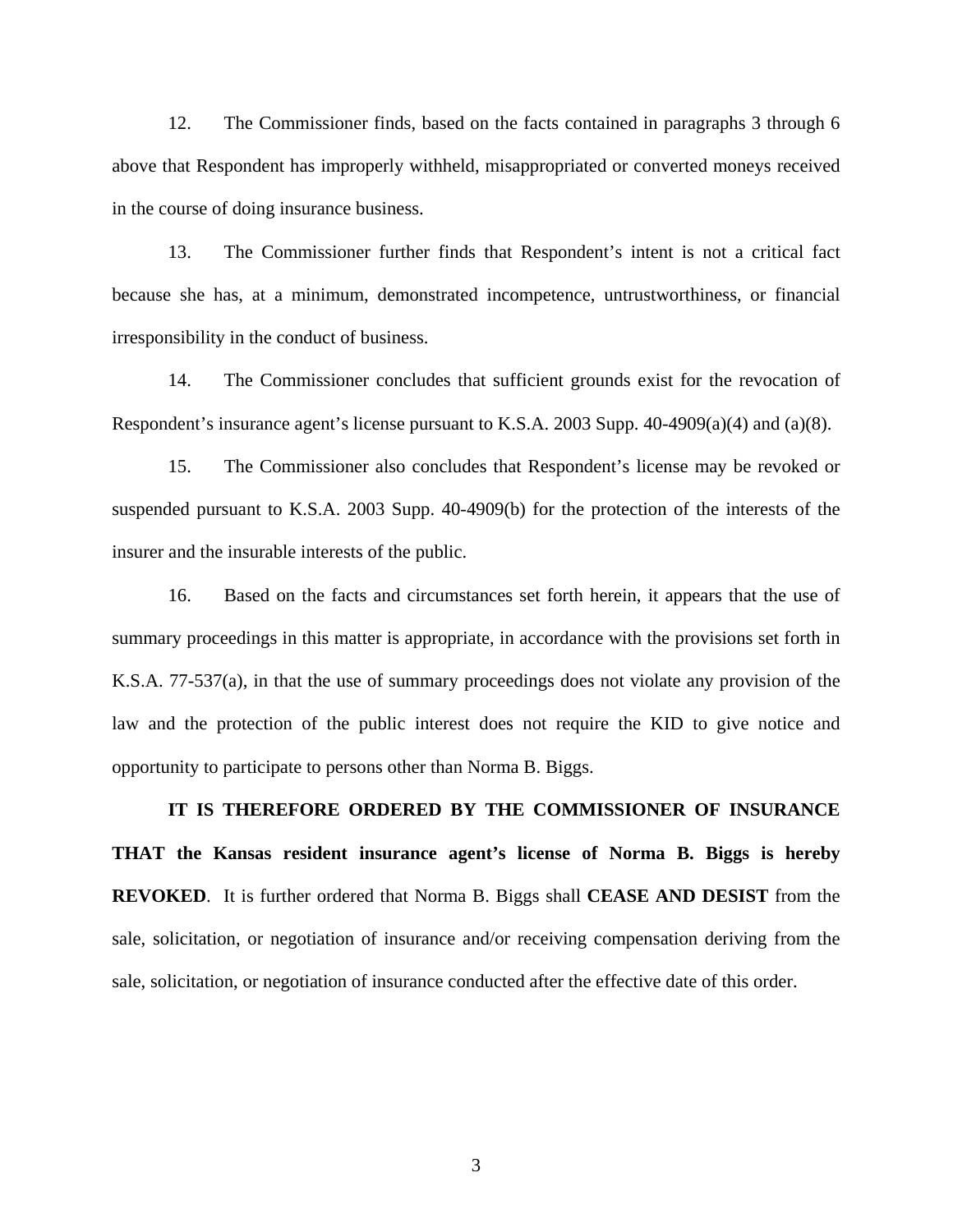12. The Commissioner finds, based on the facts contained in paragraphs 3 through 6 above that Respondent has improperly withheld, misappropriated or converted moneys received in the course of doing insurance business.

13. The Commissioner further finds that Respondent's intent is not a critical fact because she has, at a minimum, demonstrated incompetence, untrustworthiness, or financial irresponsibility in the conduct of business.

14. The Commissioner concludes that sufficient grounds exist for the revocation of Respondent's insurance agent's license pursuant to K.S.A. 2003 Supp. 40-4909(a)(4) and (a)(8).

15. The Commissioner also concludes that Respondent's license may be revoked or suspended pursuant to K.S.A. 2003 Supp. 40-4909(b) for the protection of the interests of the insurer and the insurable interests of the public.

16. Based on the facts and circumstances set forth herein, it appears that the use of summary proceedings in this matter is appropriate, in accordance with the provisions set forth in K.S.A. 77-537(a), in that the use of summary proceedings does not violate any provision of the law and the protection of the public interest does not require the KID to give notice and opportunity to participate to persons other than Norma B. Biggs.

**IT IS THEREFORE ORDERED BY THE COMMISSIONER OF INSURANCE THAT the Kansas resident insurance agent's license of Norma B. Biggs is hereby REVOKED**. It is further ordered that Norma B. Biggs shall **CEASE AND DESIST** from the sale, solicitation, or negotiation of insurance and/or receiving compensation deriving from the sale, solicitation, or negotiation of insurance conducted after the effective date of this order.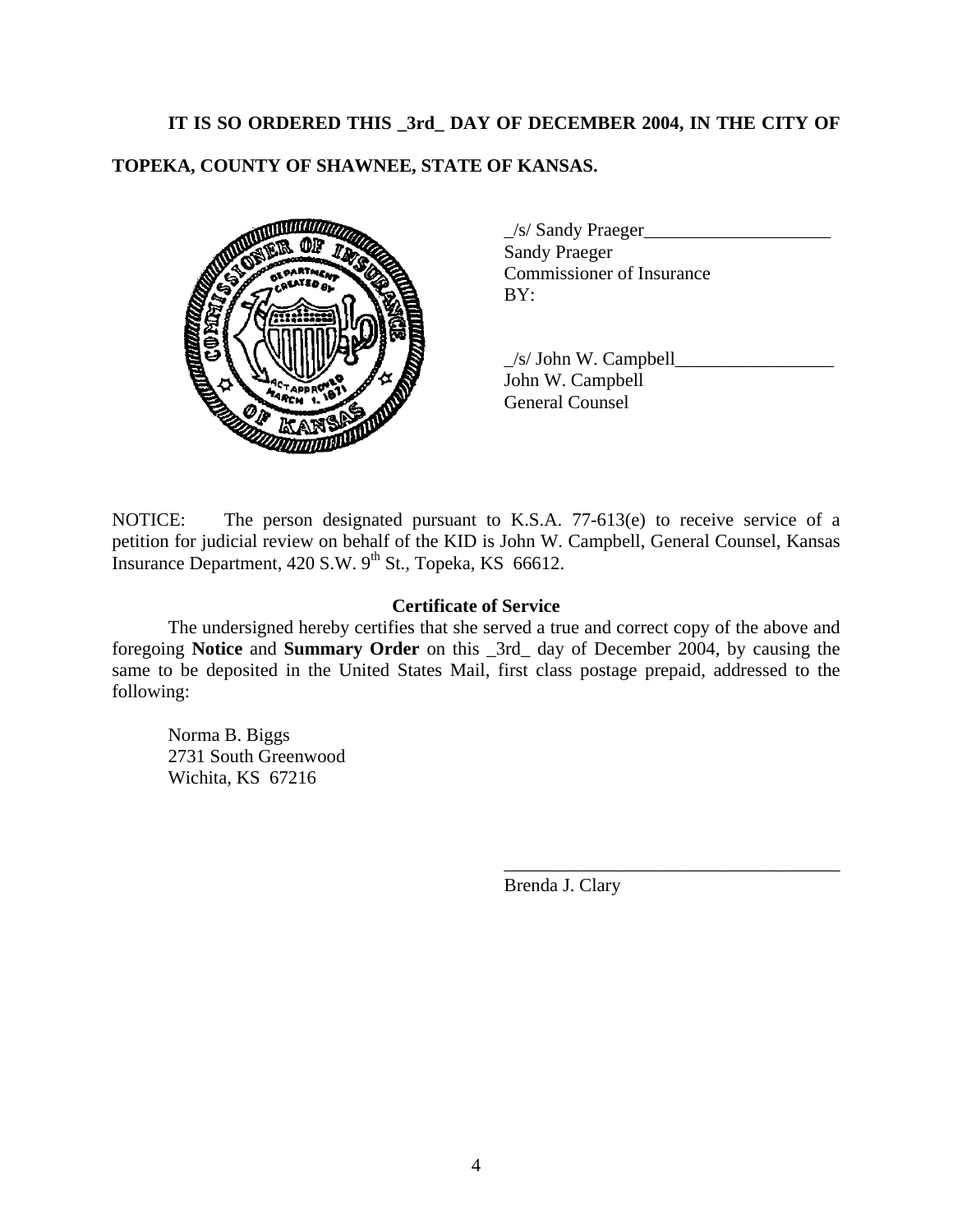# **IT IS SO ORDERED THIS \_3rd\_ DAY OF DECEMBER 2004, IN THE CITY OF**

# **TOPEKA, COUNTY OF SHAWNEE, STATE OF KANSAS.**



| $\angle$ s/ Sandy Praeger        |  |
|----------------------------------|--|
| <b>Sandy Praeger</b>             |  |
| <b>Commissioner of Insurance</b> |  |
| BY:                              |  |

 \_/s/ John W. Campbell\_\_\_\_\_\_\_\_\_\_\_\_\_\_\_\_\_ John W. Campbell General Counsel

NOTICE: The person designated pursuant to K.S.A. 77-613(e) to receive service of a petition for judicial review on behalf of the KID is John W. Campbell, General Counsel, Kansas Insurance Department,  $420$  S.W.  $9^{th}$  St., Topeka, KS 66612.

### **Certificate of Service**

 The undersigned hereby certifies that she served a true and correct copy of the above and foregoing **Notice** and **Summary Order** on this \_3rd\_ day of December 2004, by causing the same to be deposited in the United States Mail, first class postage prepaid, addressed to the following:

 $\overline{\phantom{a}}$  , which is a set of the set of the set of the set of the set of the set of the set of the set of the set of the set of the set of the set of the set of the set of the set of the set of the set of the set of th

 Norma B. Biggs 2731 South Greenwood Wichita, KS 67216

Brenda J. Clary